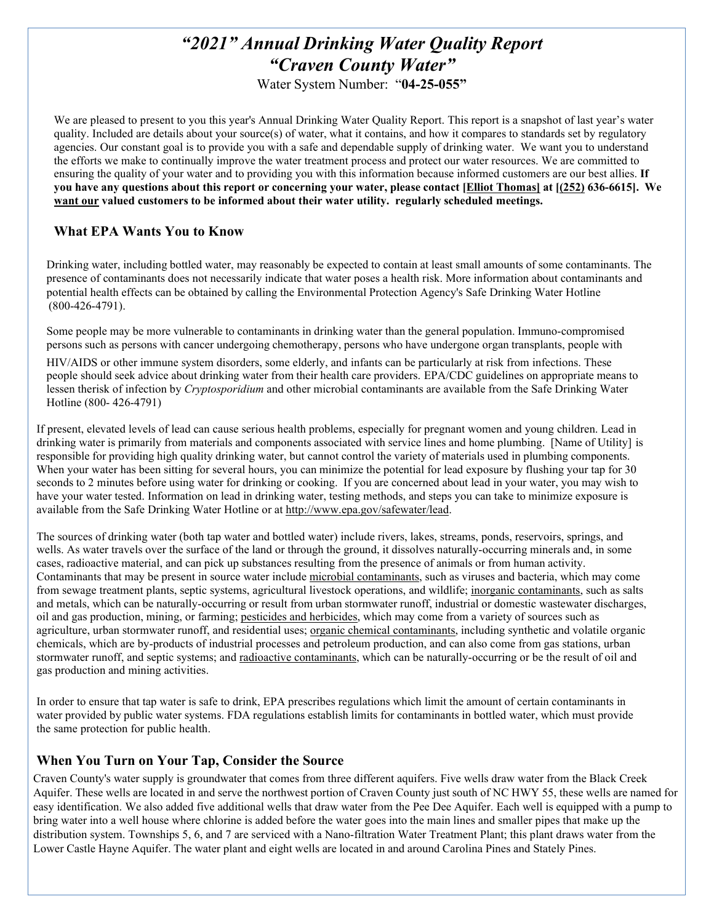# *"2021" Annual Drinking Water Quality Report "Craven County Water"*

Water System Number: "**04-25-055"**

We are pleased to present to you this year's Annual Drinking Water Quality Report. This report is a snapshot of last year's water quality. Included are details about your source(s) of water, what it contains, and how it compares to standards set by regulatory agencies. Our constant goal is to provide you with a safe and dependable supply of drinking water. We want you to understand the efforts we make to continually improve the water treatment process and protect our water resources. We are committed to ensuring the quality of your water and to providing you with this information because informed customers are our best allies. **If** you have any questions about this report or concerning your water, please contact [Elliot Thomas] at [(252) 636-6615]. We **want our valued customers to be informed about their water utility. regularly scheduled meetings.**

## **What EPA Wants You to Know**

Drinking water, including bottled water, may reasonably be expected to contain at least small amounts of some contaminants. The presence of contaminants does not necessarily indicate that water poses a health risk. More information about contaminants and potential health effects can be obtained by calling the Environmental Protection Agency's Safe Drinking Water Hotline (800-426-4791).

Some people may be more vulnerable to contaminants in drinking water than the general population. Immuno-compromised persons such as persons with cancer undergoing chemotherapy, persons who have undergone organ transplants, people with

HIV/AIDS or other immune system disorders, some elderly, and infants can be particularly at risk from infections. These people should seek advice about drinking water from their health care providers. EPA/CDC guidelines on appropriate means to lessen therisk of infection by *Cryptosporidium* and other microbial contaminants are available from the Safe Drinking Water Hotline (800- 426-4791)

If present, elevated levels of lead can cause serious health problems, especially for pregnant women and young children. Lead in drinking water is primarily from materials and components associated with service lines and home plumbing. [Name of Utility] is responsible for providing high quality drinking water, but cannot control the variety of materials used in plumbing components. When your water has been sitting for several hours, you can minimize the potential for lead exposure by flushing your tap for 30 seconds to 2 minutes before using water for drinking or cooking. If you are concerned about lead in your water, you may wish to have your water tested. Information on lead in drinking water, testing methods, and steps you can take to minimize exposure is available from the Safe Drinking Water Hotline or at [http://www.epa.gov/safewater/lead.](http://www.epa.gov/safewater/lead)

The sources of drinking water (both tap water and bottled water) include rivers, lakes, streams, ponds, reservoirs, springs, and wells. As water travels over the surface of the land or through the ground, it dissolves naturally-occurring minerals and, in some cases, radioactive material, and can pick up substances resulting from the presence of animals or from human activity. Contaminants that may be present in source water include microbial contaminants, such as viruses and bacteria, which may come from sewage treatment plants, septic systems, agricultural livestock operations, and wildlife; inorganic contaminants, such as salts and metals, which can be naturally-occurring or result from urban stormwater runoff, industrial or domestic wastewater discharges, oil and gas production, mining, or farming; pesticides and herbicides, which may come from a variety of sources such as agriculture, urban stormwater runoff, and residential uses; organic chemical contaminants, including synthetic and volatile organic chemicals, which are by-products of industrial processes and petroleum production, and can also come from gas stations, urban stormwater runoff, and septic systems; and radioactive contaminants, which can be naturally-occurring or be the result of oil and gas production and mining activities.

In order to ensure that tap water is safe to drink, EPA prescribes regulations which limit the amount of certain contaminants in water provided by public water systems. FDA regulations establish limits for contaminants in bottled water, which must provide the same protection for public health.

## **When You Turn on Your Tap, Consider the Source**

Craven County's water supply is groundwater that comes from three different aquifers. Five wells draw water from the Black Creek Aquifer. These wells are located in and serve the northwest portion of Craven County just south of NC HWY 55, these wells are named for easy identification. We also added five additional wells that draw water from the Pee Dee Aquifer. Each well is equipped with a pump to bring water into a well house where chlorine is added before the water goes into the main lines and smaller pipes that make up the distribution system. Townships 5, 6, and 7 are serviced with a Nano-filtration Water Treatment Plant; this plant draws water from the Lower Castle Hayne Aquifer. The water plant and eight wells are located in and around Carolina Pines and Stately Pines.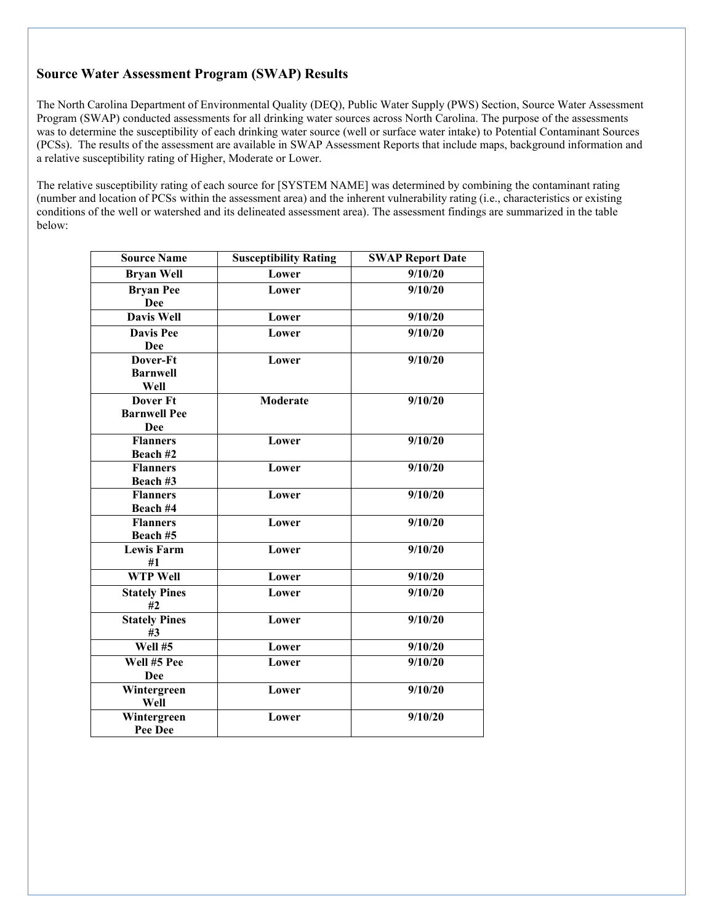## **Source Water Assessment Program (SWAP) Results**

The North Carolina Department of Environmental Quality (DEQ), Public Water Supply (PWS) Section, Source Water Assessment Program (SWAP) conducted assessments for all drinking water sources across North Carolina. The purpose of the assessments was to determine the susceptibility of each drinking water source (well or surface water intake) to Potential Contaminant Sources (PCSs). The results of the assessment are available in SWAP Assessment Reports that include maps, background information and a relative susceptibility rating of Higher, Moderate or Lower.

The relative susceptibility rating of each source for [SYSTEM NAME] was determined by combining the contaminant rating (number and location of PCSs within the assessment area) and the inherent vulnerability rating (i.e., characteristics or existing conditions of the well or watershed and its delineated assessment area). The assessment findings are summarized in the table below:

| <b>Source Name</b>      | <b>Susceptibility Rating</b> | <b>SWAP Report Date</b> |
|-------------------------|------------------------------|-------------------------|
| <b>Bryan Well</b>       | Lower                        | 9/10/20                 |
| <b>Bryan Pee</b>        | Lower                        | 9/10/20                 |
| <b>Dee</b>              |                              |                         |
| <b>Davis Well</b>       | Lower                        | 9/10/20                 |
| <b>Davis Pee</b>        | Lower                        | $\overline{9}/10/20$    |
| <b>Dee</b>              |                              |                         |
| Dover-Ft                | Lower                        | 9/10/20                 |
| <b>Barnwell</b>         |                              |                         |
| Well                    |                              |                         |
| <b>Dover Ft</b>         | <b>Moderate</b>              | 9/10/20                 |
| <b>Barnwell Pee</b>     |                              |                         |
| <b>Dee</b>              |                              |                         |
| Flanners                | Lower                        | 9/10/20                 |
| Beach #2                |                              |                         |
| <b>Flanners</b>         | Lower                        | 9/10/20                 |
| Beach #3                |                              |                         |
| <b>Flanners</b>         | Lower                        | 9/10/20                 |
| Beach #4                |                              |                         |
| <b>Flanners</b>         | Lower                        | 9/10/20                 |
| Beach #5                |                              |                         |
| <b>Lewis Farm</b><br>#1 | Lower                        | 9/10/20                 |
| <b>WTP Well</b>         | Lower                        | 9/10/20                 |
|                         |                              |                         |
| <b>Stately Pines</b>    | Lower                        | 9/10/20                 |
| #2                      |                              |                         |
| <b>Stately Pines</b>    | Lower                        | 9/10/20                 |
| #3                      |                              |                         |
| Well #5                 | Lower                        | 9/10/20                 |
| Well #5 Pee             | Lower                        | 9/10/20                 |
| Dee                     |                              |                         |
| Wintergreen             | Lower                        | 9/10/20                 |
| Well                    |                              |                         |
| Wintergreen             | Lower                        | $\overline{9}/10/20$    |
| Pee Dee                 |                              |                         |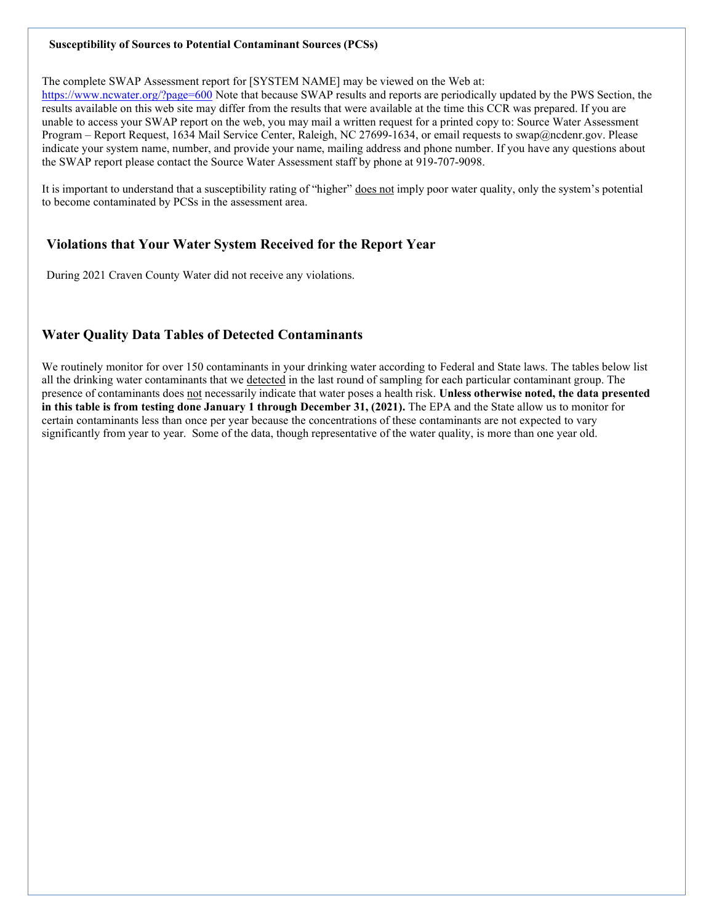#### **Susceptibility of Sources to Potential Contaminant Sources (PCSs)**

The complete SWAP Assessment report for [SYSTEM NAME] may be viewed on the Web at:

<https://www.ncwater.org/?page=600> Note that because SWAP results and reports are periodically updated by the PWS Section, the results available on this web site may differ from the results that were available at the time this CCR was prepared. If you are unable to access your SWAP report on the web, you may mail a written request for a printed copy to: Source Water Assessment Program – Report Request, 1634 Mail Service Center, Raleigh, NC 27699-1634, or email requests to [swap@ncdenr.gov.](mailto:swap@ncdenr.gov) Please indicate your system name, number, and provide your name, mailing address and phone number. If you have any questions about the SWAP report please contact the Source Water Assessment staff by phone at 919-707-9098.

It is important to understand that a susceptibility rating of "higher" does not imply poor water quality, only the system's potential to become contaminated by PCSs in the assessment area.

## **Violations that Your Water System Received for the Report Year**

During 2021 Craven County Water did not receive any violations.

## **Water Quality Data Tables of Detected Contaminants**

We routinely monitor for over 150 contaminants in your drinking water according to Federal and State laws. The tables below list all the drinking water contaminants that we detected in the last round of sampling for each particular contaminant group. The presence of contaminants does not necessarily indicate that water poses a health risk. **Unless otherwise noted, the data presented in this table is from testing done January 1 through December 31, (2021).** The EPA and the State allow us to monitor for certain contaminants less than once per year because the concentrations of these contaminants are not expected to vary significantly from year to year. Some of the data, though representative of the water quality, is more than one year old.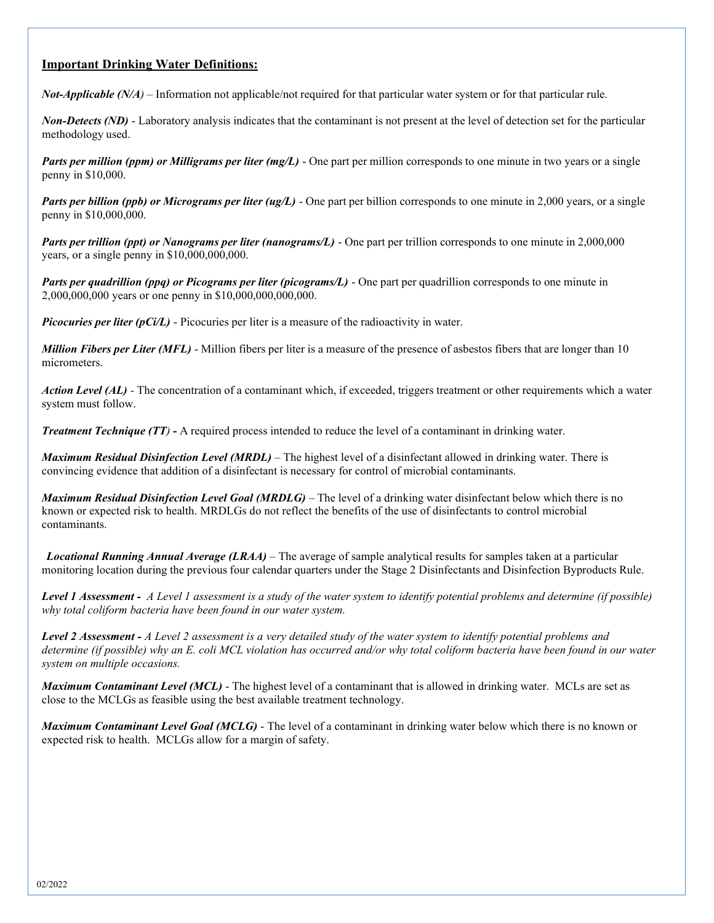#### **Important Drinking Water Definitions:**

*Not-Applicable (N/A)* – Information not applicable/not required for that particular water system or for that particular rule.

*Non-Detects (ND)* - Laboratory analysis indicates that the contaminant is not present at the level of detection set for the particular methodology used.

*Parts per million (ppm) or Milligrams per liter (mg/L)* - One part per million corresponds to one minute in two years or a single penny in \$10,000.

*Parts per billion (ppb) or Micrograms per liter (ug/L)* - One part per billion corresponds to one minute in 2,000 years, or a single penny in \$10,000,000.

*Parts per trillion (ppt) or Nanograms per liter (nanograms/L)* - One part per trillion corresponds to one minute in 2,000,000 years, or a single penny in \$10,000,000,000.

*Parts per quadrillion (ppq) or Picograms per liter (picograms/L)* - One part per quadrillion corresponds to one minute in 2,000,000,000 years or one penny in \$10,000,000,000,000.

*Picocuries per liter (pCi/L)* - Picocuries per liter is a measure of the radioactivity in water.

*Million Fibers per Liter (MFL)* - Million fibers per liter is a measure of the presence of asbestos fibers that are longer than 10 micrometers.

*Action Level (AL) -* The concentration of a contaminant which, if exceeded, triggers treatment or other requirements which a water system must follow.

*Treatment Technique (TT)* **-** A required process intended to reduce the level of a contaminant in drinking water.

*Maximum Residual Disinfection Level (MRDL)* – The highest level of a disinfectant allowed in drinking water. There is convincing evidence that addition of a disinfectant is necessary for control of microbial contaminants.

*Maximum Residual Disinfection Level Goal (MRDLG)* – The level of a drinking water disinfectant below which there is no known or expected risk to health. MRDLGs do not reflect the benefits of the use of disinfectants to control microbial contaminants.

*Locational Running Annual Average (LRAA)* – The average of sample analytical results for samples taken at a particular monitoring location during the previous four calendar quarters under the Stage 2 Disinfectants and Disinfection Byproducts Rule.

Level 1 Assessment - A Level 1 assessment is a study of the water system to identify potential problems and determine (if possible) *why total coliform bacteria have been found in our water system.*

**Level 2 Assessment - A Level 2 assessment is a very detailed study of the water system to identify potential problems and** *determine (if possible) why an E. coli MCL violation has occurred and/or why total coliform bacteria have been found in our water system on multiple occasions.*

*Maximum Contaminant Level (MCL)* - The highest level of a contaminant that is allowed in drinking water. MCLs are set as close to the MCLGs as feasible using the best available treatment technology.

*Maximum Contaminant Level Goal (MCLG)* - The level of a contaminant in drinking water below which there is no known or expected risk to health. MCLGs allow for a margin of safety.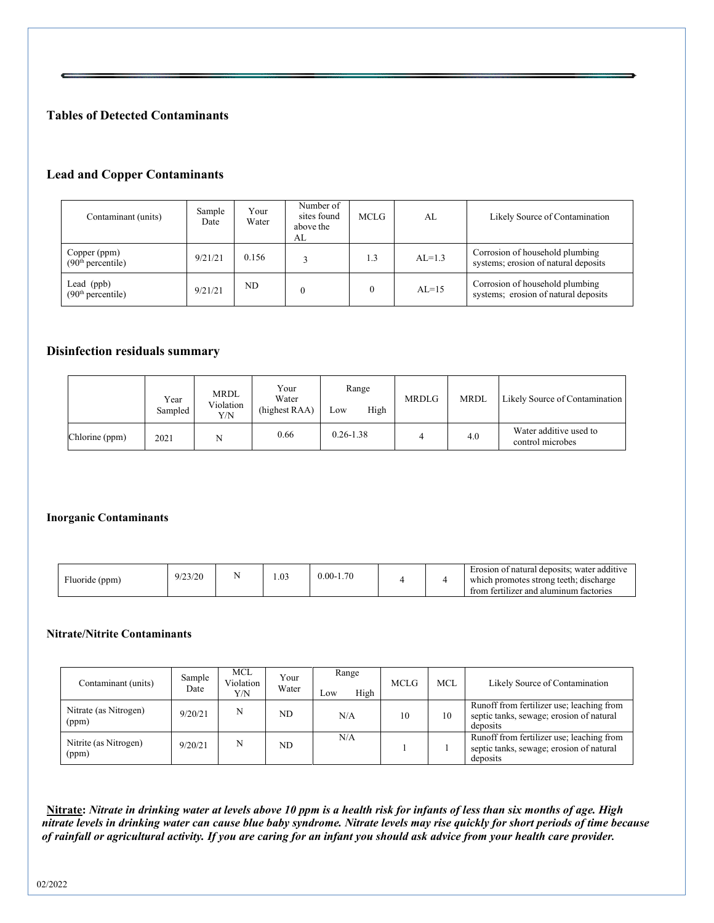## **Tables of Detected Contaminants**

#### **Lead and Copper Contaminants**

| Contaminant (units)                           | Sample<br>Date | Your<br>Water | Number of<br>sites found<br>above the<br>AL | <b>MCLG</b> | AL       | Likely Source of Contamination                                          |
|-----------------------------------------------|----------------|---------------|---------------------------------------------|-------------|----------|-------------------------------------------------------------------------|
| Copper (ppm)<br>(90 <sup>th</sup> percentile) | 9/21/21        | 0.156         |                                             | 1.3         | $AL=1.3$ | Corrosion of household plumbing<br>systems; erosion of natural deposits |
| Lead (ppb)<br>(90 <sup>th</sup> percentile)   | 9/21/21        | ND            |                                             | $\theta$    | $AL=15$  | Corrosion of household plumbing<br>systems; erosion of natural deposits |

#### **Disinfection residuals summary**

|                | Year<br>Sampled | <b>MRDL</b><br>Violation<br>Y/N | Your<br>Water<br>(highest RAA) | Range<br>High<br>Low | <b>MRDLG</b> | <b>MRDL</b> | Likely Source of Contamination             |
|----------------|-----------------|---------------------------------|--------------------------------|----------------------|--------------|-------------|--------------------------------------------|
| Chlorine (ppm) | 2021            | N                               | 0.66                           | $0.26 - 1.38$        |              | 4.0         | Water additive used to<br>control microbes |

#### **Inorganic Contaminants**

| (ppm)<br>luoride | 9/23/20 |  | 1.03 | $0.00 - 1.70$ |  |  | Erosion of natural deposits; water additive<br>which promotes strong teeth; discharge<br>from fertilizer and aluminum factories |
|------------------|---------|--|------|---------------|--|--|---------------------------------------------------------------------------------------------------------------------------------|
|------------------|---------|--|------|---------------|--|--|---------------------------------------------------------------------------------------------------------------------------------|

#### **Nitrate/Nitrite Contaminants**

| Contaminant (units)            | Sample<br>Date | MCL<br>Violation<br>Y/N | Your<br>Water | Range<br>High<br>Low | <b>MCLG</b> | MCL | Likely Source of Contamination                                                                    |
|--------------------------------|----------------|-------------------------|---------------|----------------------|-------------|-----|---------------------------------------------------------------------------------------------------|
| Nitrate (as Nitrogen)<br>(ppm) | 9/20/21        | N                       | ND.           | N/A                  | 10          | 10  | Runoff from fertilizer use; leaching from<br>septic tanks, sewage; erosion of natural<br>deposits |
| Nitrite (as Nitrogen)<br>(ppm) | 9/20/21        | N                       | ND.           | N/A                  |             |     | Runoff from fertilizer use; leaching from<br>septic tanks, sewage; erosion of natural<br>deposits |

**Nitrate:** *Nitrate in drinking water at levels above 10 ppm is a health risk for infants of less than six months of age. High nitrate levels in drinking water can cause blue baby syndrome. Nitrate levels may rise quickly for short periods of time because of rainfall or agricultural activity. If you are caring for an infant you should ask advice from your health care provider.*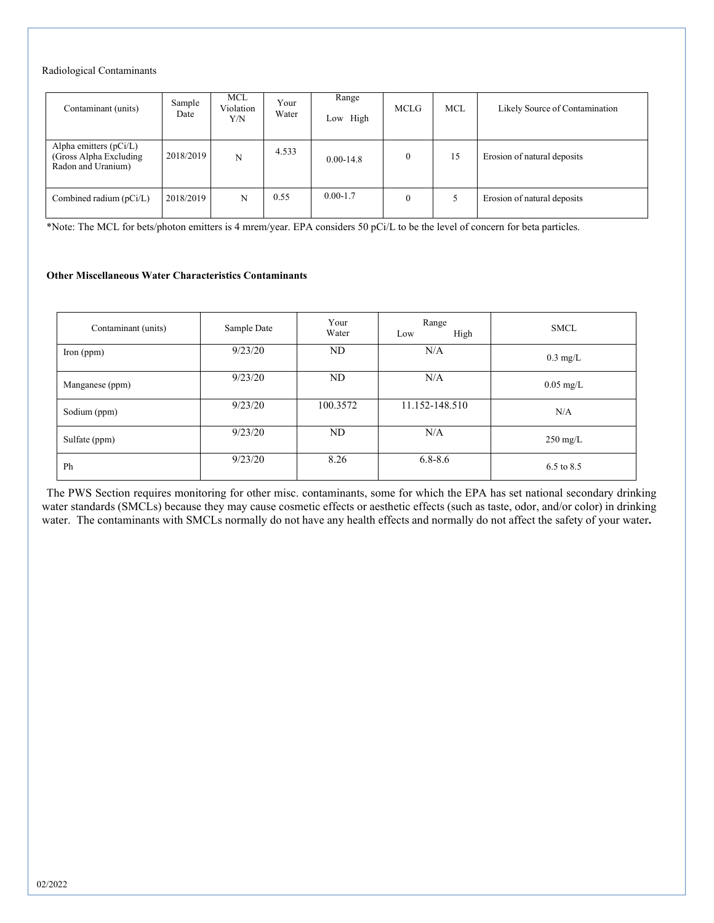#### Radiological Contaminants

| Contaminant (units)                                                    | Sample<br>Date | <b>MCL</b><br>Violation<br>Y/N | Your<br>Water | Range<br>Low High | <b>MCLG</b>    | <b>MCL</b> | Likely Source of Contamination |
|------------------------------------------------------------------------|----------------|--------------------------------|---------------|-------------------|----------------|------------|--------------------------------|
| Alpha emitters (pCi/L)<br>(Gross Alpha Excluding<br>Radon and Uranium) | 2018/2019      | N                              | 4.533         | $0.00 - 14.8$     | 0              | 15         | Erosion of natural deposits    |
| Combined radium $(pCi/L)$                                              | 2018/2019      | N                              | 0.55          | $0.00 - 1.7$      | $\overline{0}$ |            | Erosion of natural deposits    |

\*Note: The MCL for bets/photon emitters is 4 mrem/year. EPA considers 50 pCi/L to be the level of concern for beta particles.

#### **Other Miscellaneous Water Characteristics Contaminants**

| Contaminant (units) | Sample Date | Your<br>Water | Range<br>High<br>Low | <b>SMCL</b>         |
|---------------------|-------------|---------------|----------------------|---------------------|
| $\Gamma$ Iron (ppm) | 9/23/20     | ND            | N/A                  | $0.3 \text{ mg/L}$  |
| Manganese (ppm)     | 9/23/20     | ND            | N/A                  | $0.05 \text{ mg/L}$ |
| Sodium (ppm)        | 9/23/20     | 100.3572      | 11.152-148.510       | N/A                 |
| Sulfate (ppm)       | 9/23/20     | ND            | N/A                  | $250 \text{ mg/L}$  |
| Ph                  | 9/23/20     | 8.26          | $6.8 - 8.6$          | 6.5 to 8.5          |

The PWS Section requires monitoring for other misc. contaminants, some for which the EPA has set national secondary drinking water standards (SMCLs) because they may cause cosmetic effects or aesthetic effects (such as taste, odor, and/or color) in drinking water. The contaminants with SMCLs normally do not have any health effects and normally do not affect the safety of your water**.**